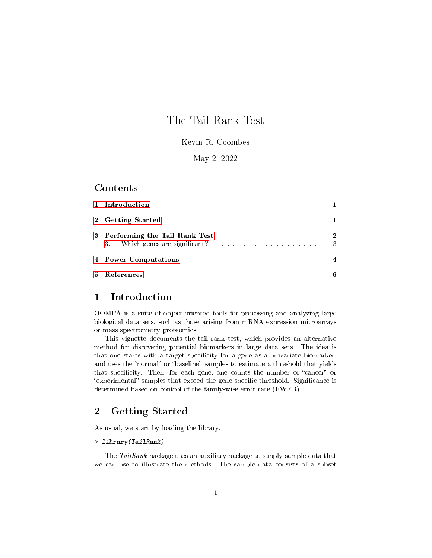# The Tail Rank Test

### Kevin R. Coombes

### May 2, 2022

### Contents

| 1 Introduction                  |                          |
|---------------------------------|--------------------------|
| 2 Getting Started               |                          |
| 3 Performing the Tail Rank Test | $\mathbf 2$<br>$\cdot$ 3 |
| 4 Power Computations            |                          |
| 5 References                    | В                        |

# <span id="page-0-0"></span>1 Introduction

OOMPA is a suite of object-oriented tools for processing and analyzing large biological data sets, such as those arising from mRNA expression microarrays or mass spectrometry proteomics.

This vignette documents the tail rank test, which provides an alternative method for discovering potential biomarkers in large data sets. The idea is that one starts with a target specificity for a gene as a univariate biomarker, and uses the "normal" or "baseline" samples to estimate a threshold that yields that specificity. Then, for each gene, one counts the number of "cancer" or "experimental" samples that exceed the gene-specific threshold. Significance is determined based on control of the family-wise error rate (FWER).

# <span id="page-0-1"></span>2 Getting Started

As usual, we start by loading the library.

### > library(TailRank)

The TailRank package uses an auxiliary package to supply sample data that we can use to illustrate the methods. The sample data consists of a subset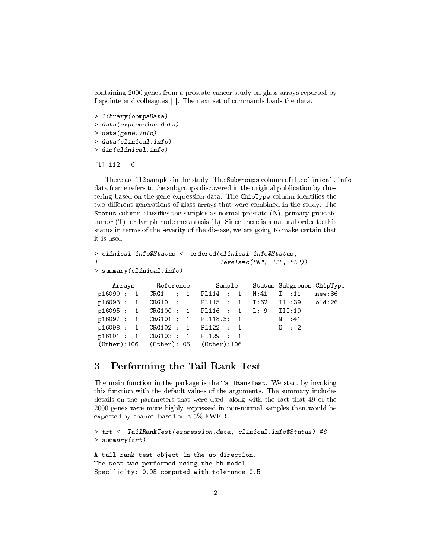containing 2000 genes from a prostate cancer study on glass arrays reported by Lapointe and colleagues [1]. The next set of commands loads the data.

```
> library(oompaData)
> data(expression.data)
> data(gene.info)
> data(clinical.info)
> dim(clinical.info)
```
#### [1] 112 6

There are 112 samples in the study. The Subgroups column of the clinical.info data frame refers to the subgroups discovered in the original publication by clustering based on the gene expression data. The ChipType column identifies the two different generations of glass arrays that were combined in the study. The Status column classifies the samples as normal prostate  $(N)$ , primary prostate tumor  $(T)$ , or lymph node metastasis  $(L)$ . Since there is a natural order to this status in terms of the severity of the disease, we are going to make certain that it is used:

```
> clinical.info$Status <- ordered(clinical.info$Status,
                           levels=c("N", "T", "L"))
> summary(clinical.info)
    Arrays Reference Sample Status Subgroups ChipType
p16090 : 1 CRG1 : 1 PL114 : 1 N:41 I :11 new:86
p16093 : 1 CRG10 : 1 PL115 : 1 T:62 II :39 old:26
p16095 : 1 CRG100 : 1 PL116 : 1 L: 9 III:19
p16097 : 1 CRG101 : 1 PL118.3: 1 N :41
p16098 : 1 CRG102 : 1 PL122 : 1 O : 2
p16101 : 1 CRG103 : 1 PL129 : 1
(Other):106 (Other):106 (Other):106
```
### <span id="page-1-0"></span>3 Performing the Tail Rank Test

The main function in the package is the TailRankTest. We start by invoking this function with the default values of the arguments. The summary includes details on the parameters that were used, along with the fact that 49 of the 2000 genes were more highly expressed in non-normal samples than would be expected by chance, based on a 5% FWER.

```
> trt <- TailRankTest(expression.data, clinical.info$Status) #$
> summary(trt)
A tail-rank test object in the up direction.
The test was performed using the bb model.
```

```
Specificity: 0.95 computed with tolerance 0.5
```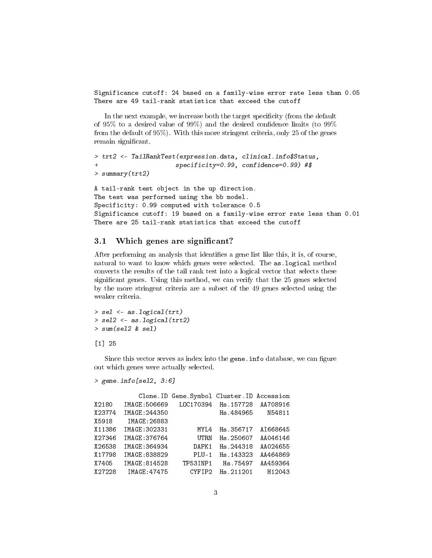Significance cutoff: 24 based on a family-wise error rate less than 0.05 There are 49 tail-rank statistics that exceed the cutoff

In the next example, we increase both the target specificity (from the default of 95% to a desired value of 99%) and the desired confidence limits (to  $99\%$ ) from the default of 95%). With this more stringent criteria, only 25 of the genes remain significant.

```
> trt2 <- TailRankTest(expression.data, clinical.info$Status,
+ specificity=0.99, confidence=0.99) #$
> summary(trt2)
A tail-rank test object in the up direction.
The test was performed using the bb model.
Specificity: 0.99 computed with tolerance 0.5
Significance cutoff: 19 based on a family-wise error rate less than 0.01
```
#### <span id="page-2-0"></span>3.1 Which genes are significant?

After performing an analysis that identifies a gene list like this, it is, of course, natural to want to know which genes were selected. The as.logical method converts the results of the tail rank test into a logical vector that selects these significant genes. Using this method, we can verify that the 25 genes selected by the more stringent criteria are a subset of the 49 genes selected using the weaker criteria.

There are 25 tail-rank statistics that exceed the cutoff

```
> sel <- as.logical(trt)
> sel2 <- as.logical(trt2)
> sum(sel2 & sel)
```
#### [1] 25

Since this vector serves as index into the gene. info database, we can figure out which genes were actually selected.

```
> gene.info[sel2, 3:6]
```

|        |               | Clone. ID Gene. Symbol Cluster. ID Accession |            |          |
|--------|---------------|----------------------------------------------|------------|----------|
| X2180  | IMAGE: 506669 | L0C170394                                    | Hs. 157728 | AA708916 |
| X23774 | IMAGE: 244350 |                                              | Hs.484965  | N54811   |
| X5918  | IMAGE: 26883  |                                              |            |          |
| X11386 | IMAGE: 302331 | MYL4                                         | Hs.356717  | AI668645 |
| X27346 | IMAGE: 376764 | <b>UTRN</b>                                  | Hs.250607  | AA046146 |
| X26538 | IMAGE: 364934 | DAPK1                                        | Hs.244318  | AA024655 |
| X17798 | IMAGE:838829  | $PLU-1$                                      | Hs. 143323 | AA464869 |
| X7405  | IMAGE:814528  | TP53INP1                                     | Hs.75497   | AA459364 |
| X27228 | IMAGE: 47475  | CYFIP2                                       | Hs.211201  | H12043   |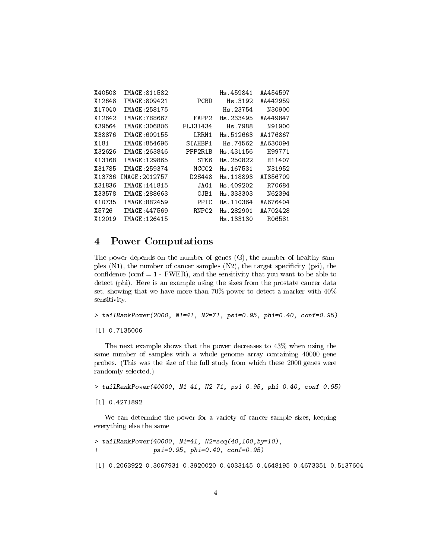| X40508             | IMAGE:811582  |                   | Hs.459841 | AA454597 |
|--------------------|---------------|-------------------|-----------|----------|
| X12648             | IMAGE:809421  | PCBD              | Hs.3192   | AA442959 |
| X17040             | IMAGE: 258175 |                   | Hs.23754  | N30900   |
| X12642             | IMAGE: 788667 | FAPP2             | Hs.233495 | AA449847 |
| X39564             | IMAGE:306806  | FL J31434         | Hs.7988   | N91900   |
| X38876             | IMAGE:609155  | LRRN1             | Hs.512663 | AA176867 |
| X181               | IMAGE:854696  | SIAHBP1           | Hs.74562  | AA630094 |
| X32626             | IMAGE:263846  | PPP2R1B           | Hs.431156 | H99771   |
| X13168             | IMAGE: 129865 | STK6              | Hs.250822 | R11407   |
| X31785             | IMAGE: 259374 | MCCC2             | Hs.167531 | N31952   |
| X13736             | IMAGE:2012757 | D2S448            | Hs.118893 | AI356709 |
| X31836             | IMAGE:141815  | JAG1              | Hs.409202 | R70684   |
| X33578             | IMAGE: 288663 | GJB1              | Hs.333303 | N62394   |
| X10735             | IMAGE: 882459 | PPIC              | Hs.110364 | AA676404 |
| X5726              | IMAGE: 447569 | RNPC <sub>2</sub> | Hs.282901 | AA702428 |
| X <sub>12019</sub> | IMAGE: 126415 |                   | Hs 133130 | R06581   |

# <span id="page-3-0"></span>4 Power Computations

The power depends on the number of genes (G), the number of healthy samples  $(N1)$ , the number of cancer samples  $(N2)$ , the target specificity (psi), the confidence (conf  $= 1$  - FWER), and the sensitivity that you want to be able to detect (phi). Here is an example using the sizes from the prostate cancer data set, showing that we have more than 70% power to detect a marker with 40% sensitivity.

> tailRankPower(2000, N1=41, N2=71, psi=0.95, phi=0.40, conf=0.95)

[1] 0.7135006

The next example shows that the power decreases to 43% when using the same number of samples with a whole genome array containing 40000 gene probes. (This was the size of the full study from which these 2000 genes were randomly selected.)

> tailRankPower(40000, N1=41, N2=71, psi=0.95, phi=0.40, conf=0.95)

#### [1] 0.4271892

We can determine the power for a variety of cancer sample sizes, keeping everything else the same

> tailRankPower(40000, N1=41, N2=seq(40,100,by=10), + psi=0.95, phi=0.40, conf=0.95) [1] 0.2063922 0.3067931 0.3920020 0.4033145 0.4648195 0.4673351 0.5137604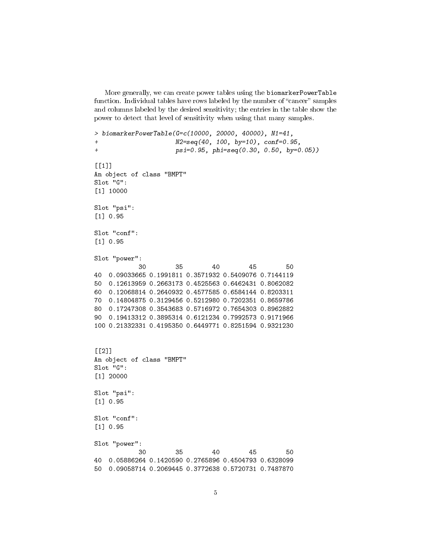More generally, we can create power tables using the biomarkerPowerTable function. Individual tables have rows labeled by the number of "cancer" samples and columns labeled by the desired sensitivity; the entries in the table show the power to detect that level of sensitivity when using that many samples.

```
> biomarkerPowerTable(G=c(10000, 20000, 40000), N1=41,
+ N2=seq(40, 100, by=10), conf=0.95,
+ psi=0.95, phi=seq(0.30, 0.50, by=0.05))
[[1]]An object of class "BMPT"
Slot "G":
[1] 10000
Slot "psi":
[1] 0.95
Slot "conf":
[1] 0.95
Slot "power":
           30 35 40 45 50
40 0.09033665 0.1991811 0.3571932 0.5409076 0.7144119
50 0.12613959 0.2663173 0.4525563 0.6462431 0.8062082
60 0.12068814 0.2640932 0.4577585 0.6584144 0.8203311
70 0.14804875 0.3129456 0.5212980 0.7202351 0.8659786
80 0.17247308 0.3543683 0.5716972 0.7654303 0.8962882
90 0.19413312 0.3895314 0.6121234 0.7992573 0.9171966
100 0.21332331 0.4195350 0.6449771 0.8251594 0.9321230
[[2]]
An object of class "BMPT"
Slot "G":
[1] 20000
Slot "psi":
[1] 0.95
Slot "conf":
[1] 0.95
Slot "power":
           30 35 40 45 50
40 0.05886264 0.1420590 0.2765896 0.4504793 0.6328099
50 0.09058714 0.2069445 0.3772638 0.5720731 0.7487870
```